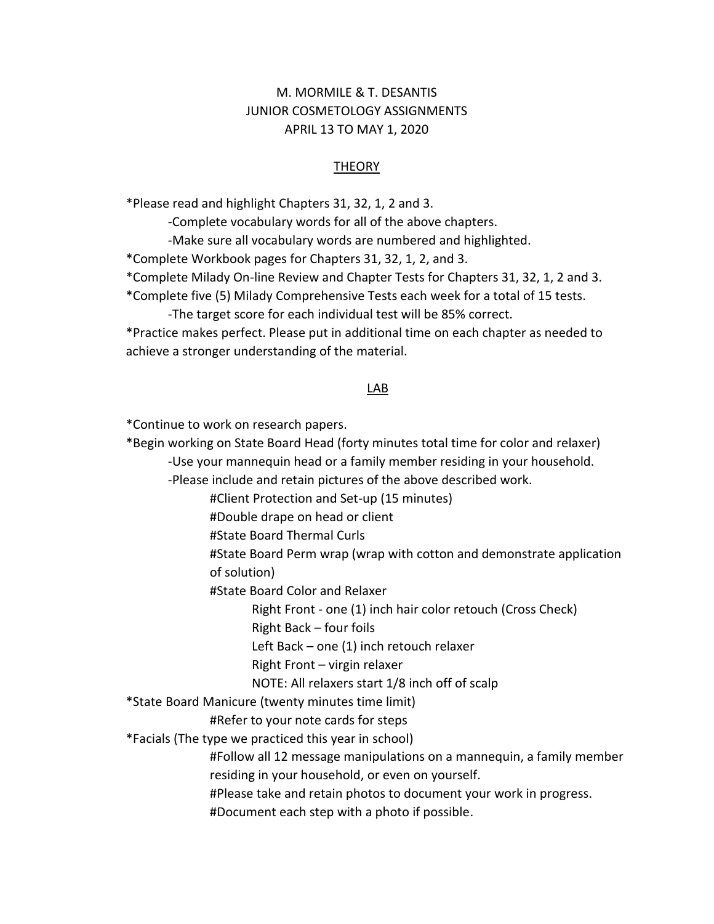## M. MORMILE & T. DESANTIS JUNIOR COSMETOLOGY ASSIGNMENTS APRIL 13 TO MAY 1, 2020

## **THEORY**

\*Please read and highlight Chapters 31, 32, 1, 2 and 3.

-Complete vocabulary words for all of the above chapters.

-Make sure all vocabulary words are numbered and highlighted.

\*Complete Workbook pages for Chapters 31, 32, 1, 2, and 3.

\*Complete Milady On-line Review and Chapter Tests for Chapters 31, 32, 1, 2 and 3.

\*Complete five (5) Milady Comprehensive Tests each week for a total of 15 tests.

-The target score for each individual test will be 85% correct.

\*Practice makes perfect. Please put in additional time on each chapter as needed to achieve a stronger understanding of the material.

## LAB

\*Continue to work on research papers.

\*Begin working on State Board Head (forty minutes total time for color and relaxer) -Use your mannequin head or a family member residing in your household.

-Please include and retain pictures of the above described work.

#Client Protection and Set-up (15 minutes)

#Double drape on head or client

#State Board Thermal Curls

#State Board Perm wrap (wrap with cotton and demonstrate application of solution)

#State Board Color and Relaxer

Right Front - one (1) inch hair color retouch (Cross Check)

Right Back – four foils

Left Back – one (1) inch retouch relaxer

Right Front – virgin relaxer

NOTE: All relaxers start 1/8 inch off of scalp

\*State Board Manicure (twenty minutes time limit)

#Refer to your note cards for steps

\*Facials (The type we practiced this year in school)

#Follow all 12 message manipulations on a mannequin, a family member residing in your household, or even on yourself.

#Please take and retain photos to document your work in progress.

#Document each step with a photo if possible.